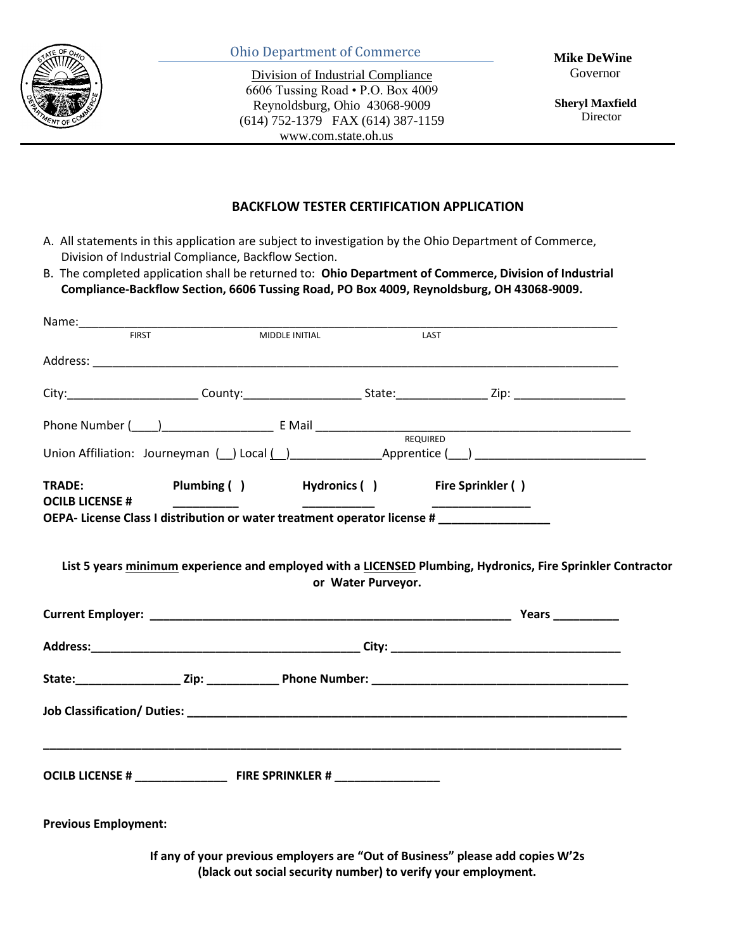

#### Ohio Department of Commerce

Division of Industrial Compliance 6606 Tussing Road • P.O. Box 4009 Reynoldsburg, Ohio 43068-9009 (614) 752-1379 FAX (614) 387-1159 www.com.state.oh.us

 **Sheryl Maxfield**  Director

#### **BACKFLOW TESTER CERTIFICATION APPLICATION**

A. All statements in this application are subject to investigation by the Ohio Department of Commerce, Division of Industrial Compliance, Backflow Section.

B. The completed application shall be returned to: **Ohio Department of Commerce, Division of Industrial Compliance-Backflow Section, 6606 Tussing Road, PO Box 4009, Reynoldsburg, OH 43068-9009.**

|                                         | MIDDLE INITIAL | LAST                                                                                                                                            |  |
|-----------------------------------------|----------------|-------------------------------------------------------------------------------------------------------------------------------------------------|--|
|                                         |                |                                                                                                                                                 |  |
|                                         |                |                                                                                                                                                 |  |
|                                         |                |                                                                                                                                                 |  |
|                                         |                |                                                                                                                                                 |  |
| <b>TRADE:</b><br><b>OCILB LICENSE #</b> |                |                                                                                                                                                 |  |
|                                         |                | OEPA- License Class I distribution or water treatment operator license #                                                                        |  |
|                                         |                |                                                                                                                                                 |  |
|                                         |                |                                                                                                                                                 |  |
|                                         |                |                                                                                                                                                 |  |
|                                         |                |                                                                                                                                                 |  |
| <b>Previous Employment:</b>             |                |                                                                                                                                                 |  |
|                                         |                | If any of your previous employers are "Out of Business" please add copies W'2s<br>(black out social security number) to verify your employment. |  |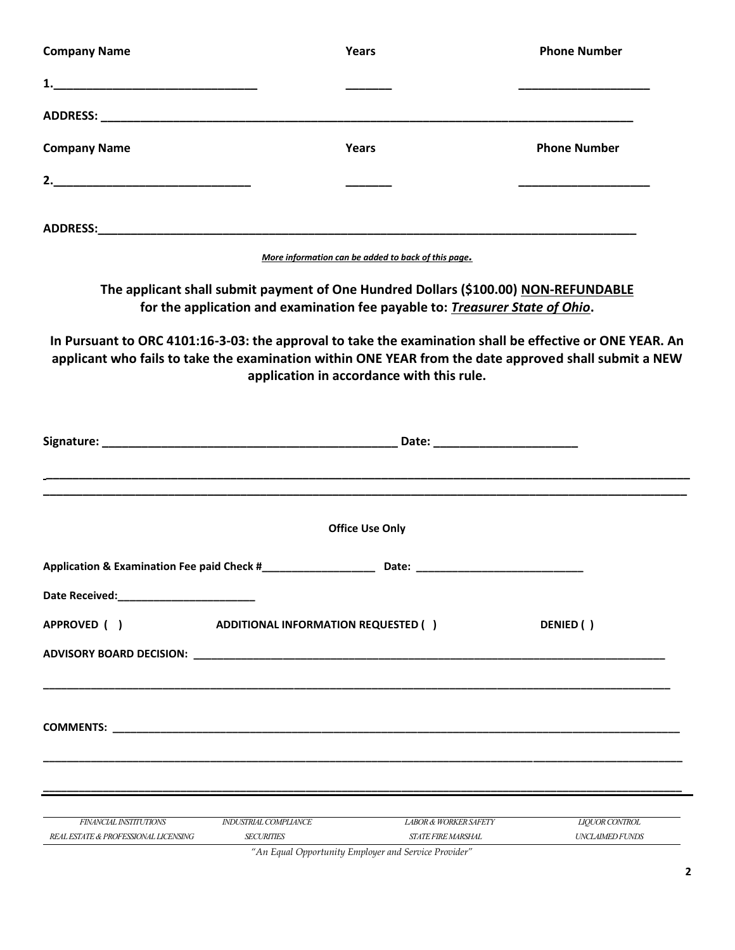| <b>Company Name</b>                                            |                                            | Years                                                                                                                                                               | <b>Phone Number</b>                                                                                                                                                                                               |
|----------------------------------------------------------------|--------------------------------------------|---------------------------------------------------------------------------------------------------------------------------------------------------------------------|-------------------------------------------------------------------------------------------------------------------------------------------------------------------------------------------------------------------|
|                                                                |                                            |                                                                                                                                                                     |                                                                                                                                                                                                                   |
| ADDRESS: ADDRESS:                                              |                                            |                                                                                                                                                                     |                                                                                                                                                                                                                   |
| <b>Company Name</b>                                            |                                            | Years                                                                                                                                                               | <b>Phone Number</b>                                                                                                                                                                                               |
|                                                                |                                            |                                                                                                                                                                     |                                                                                                                                                                                                                   |
|                                                                |                                            |                                                                                                                                                                     |                                                                                                                                                                                                                   |
|                                                                |                                            | More information can be added to back of this page.                                                                                                                 |                                                                                                                                                                                                                   |
|                                                                |                                            | The applicant shall submit payment of One Hundred Dollars (\$100.00) NON-REFUNDABLE<br>for the application and examination fee payable to: Treasurer State of Ohio. |                                                                                                                                                                                                                   |
|                                                                |                                            | application in accordance with this rule.                                                                                                                           | In Pursuant to ORC 4101:16-3-03: the approval to take the examination shall be effective or ONE YEAR. An<br>applicant who fails to take the examination within ONE YEAR from the date approved shall submit a NEW |
|                                                                |                                            |                                                                                                                                                                     |                                                                                                                                                                                                                   |
|                                                                |                                            | <b>Office Use Only</b>                                                                                                                                              |                                                                                                                                                                                                                   |
| Application & Examination Fee paid Check #_                    |                                            | Date:                                                                                                                                                               |                                                                                                                                                                                                                   |
|                                                                |                                            |                                                                                                                                                                     |                                                                                                                                                                                                                   |
| APPROVED ( )                                                   | <b>ADDITIONAL INFORMATION REQUESTED ()</b> |                                                                                                                                                                     | DENIED ()                                                                                                                                                                                                         |
|                                                                |                                            |                                                                                                                                                                     |                                                                                                                                                                                                                   |
|                                                                |                                            |                                                                                                                                                                     |                                                                                                                                                                                                                   |
|                                                                |                                            |                                                                                                                                                                     |                                                                                                                                                                                                                   |
|                                                                |                                            |                                                                                                                                                                     |                                                                                                                                                                                                                   |
| FINANCIAL INSTITUTIONS<br>REAL ESTATE & PROFESSIONAL LICENSING | INDUSTRIAL COMPLIANCE<br><b>SECURITIES</b> | <b>LABOR &amp; WORKER SAFETY</b><br><b>STATE FIRE MARSHAL</b><br>"An Equal Opportunity Employer and Service Provider"                                               | <b>LIQUOR CONTROL</b><br><b>UNCLAIMED FUNDS</b>                                                                                                                                                                   |